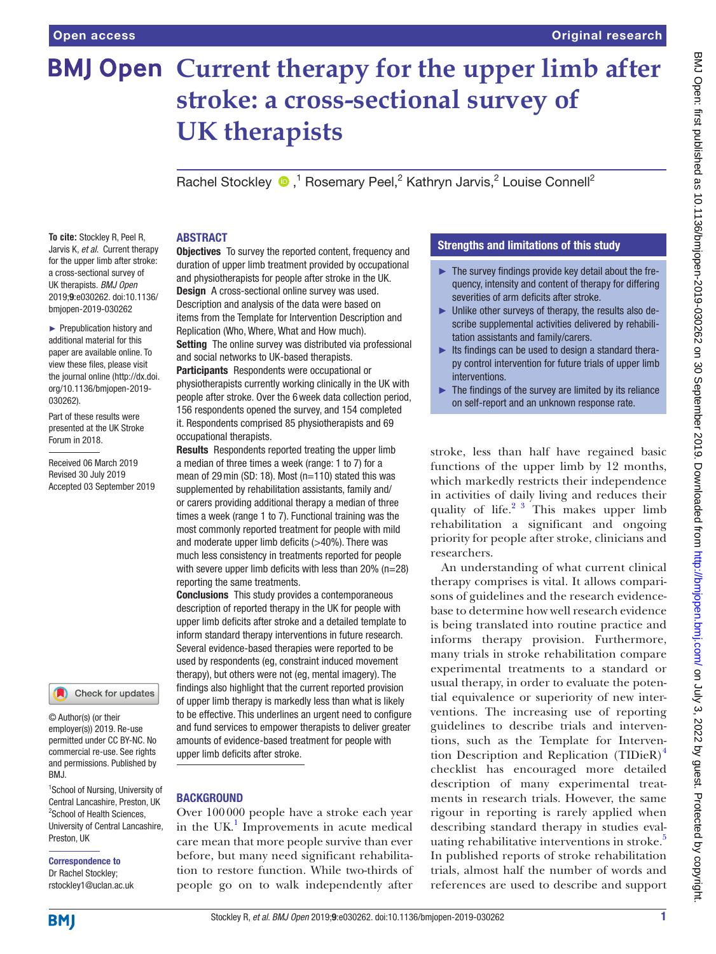# **BMJ Open Current therapy for the upper limb after stroke: a cross-sectional survey of UK therapists**

RachelStockley  $\bigcirc$ ,<sup>1</sup> Rosemary Peel,<sup>2</sup> Kathryn Jarvis,<sup>2</sup> Louise Connell<sup>2</sup>

# **ABSTRACT**

**To cite:** Stockley R, Peel R, Jarvis K, *et al*. Current therapy for the upper limb after stroke: a cross-sectional survey of UK therapists. *BMJ Open* 2019;9:e030262. doi:10.1136/ bmjopen-2019-030262

► Prepublication history and additional material for this paper are available online. To view these files, please visit the journal online (http://dx.doi. org/10.1136/bmjopen-2019- 030262).

Part of these results were presented at the UK Stroke Forum in 2018.

Received 06 March 2019 Revised 30 July 2019 Accepted 03 September 2019



© Author(s) (or their employer(s)) 2019. Re-use permitted under CC BY-NC. No commercial re-use. See rights and permissions. Published by BMJ.

<sup>1</sup>School of Nursing, University of Central Lancashire, Preston, UK <sup>2</sup>School of Health Sciences, University of Central Lancashire, Preston, UK

#### Correspondence to Dr Rachel Stockley;

rstockley1@uclan.ac.uk

**Objectives** To survey the reported content, frequency and duration of upper limb treatment provided by occupational and physiotherapists for people after stroke in the UK. Design A cross-sectional online survey was used. Description and analysis of the data were based on items from the Template for Intervention Description and Replication (Who, Where, What and How much). Setting The online survey was distributed via professional and social networks to UK-based therapists. Participants Respondents were occupational or

physiotherapists currently working clinically in the UK with people after stroke. Over the 6week data collection period, 156 respondents opened the survey, and 154 completed it. Respondents comprised 85 physiotherapists and 69 occupational therapists.

Results Respondents reported treating the upper limb a median of three times a week (range: 1 to 7) for a mean of 29min (SD: 18). Most (n=110) stated this was supplemented by rehabilitation assistants, family and/ or carers providing additional therapy a median of three times a week (range 1 to 7). Functional training was the most commonly reported treatment for people with mild and moderate upper limb deficits (>40%). There was much less consistency in treatments reported for people with severe upper limb deficits with less than 20% (n=28) reporting the same treatments.

Conclusions This study provides a contemporaneous description of reported therapy in the UK for people with upper limb deficits after stroke and a detailed template to inform standard therapy interventions in future research. Several evidence-based therapies were reported to be used by respondents (eg, constraint induced movement therapy), but others were not (eg, mental imagery). The findings also highlight that the current reported provision of upper limb therapy is markedly less than what is likely to be effective. This underlines an urgent need to configure and fund services to empower therapists to deliver greater amounts of evidence-based treatment for people with upper limb deficits after stroke.

# **BACKGROUND**

Over 100000 people have a stroke each year in the UK $<sup>1</sup>$  $<sup>1</sup>$  $<sup>1</sup>$  Improvements in acute medical</sup> care mean that more people survive than ever before, but many need significant rehabilitation to restore function. While two-thirds of people go on to walk independently after

# Strengths and limitations of this study

- ► The survey findings provide key detail about the frequency, intensity and content of therapy for differing severities of arm deficits after stroke.
- ► Unlike other surveys of therapy, the results also describe supplemental activities delivered by rehabilitation assistants and family/carers.
- ► Its findings can be used to design a standard therapy control intervention for future trials of upper limb interventions.
- $\blacktriangleright$  The findings of the survey are limited by its reliance on self-report and an unknown response rate.

stroke, less than half have regained basic functions of the upper limb by 12 months, which markedly restricts their independence in activities of daily living and reduces their quality of life. $2^3$  This makes upper limb rehabilitation a significant and ongoing priority for people after stroke, clinicians and researchers.

An understanding of what current clinical therapy comprises is vital. It allows comparisons of guidelines and the research evidencebase to determine how well research evidence is being translated into routine practice and informs therapy provision. Furthermore, many trials in stroke rehabilitation compare experimental treatments to a standard or usual therapy, in order to evaluate the potential equivalence or superiority of new interventions. The increasing use of reporting guidelines to describe trials and interventions, such as the Template for Intervention Description and Replication (TIDieR) $<sup>4</sup>$  $<sup>4</sup>$  $<sup>4</sup>$ </sup> checklist has encouraged more detailed description of many experimental treatments in research trials. However, the same rigour in reporting is rarely applied when describing standard therapy in studies eval-uating rehabilitative interventions in stroke.<sup>[5](#page-6-3)</sup> In published reports of stroke rehabilitation trials, almost half the number of words and references are used to describe and support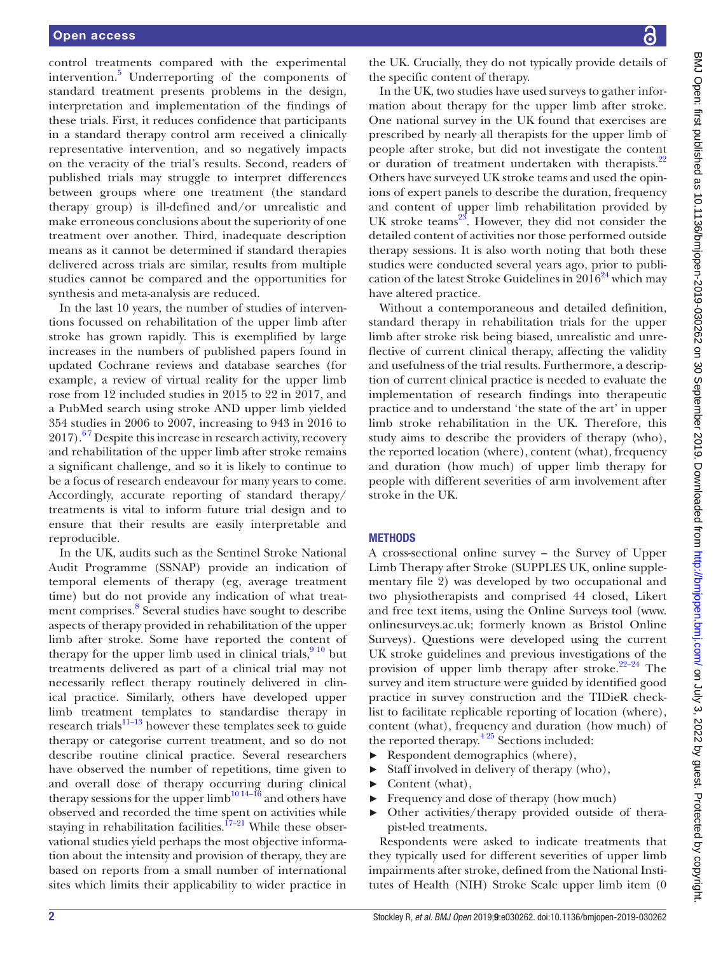control treatments compared with the experimental intervention.<sup>[5](#page-6-3)</sup> Underreporting of the components of standard treatment presents problems in the design, interpretation and implementation of the findings of these trials. First, it reduces confidence that participants in a standard therapy control arm received a clinically representative intervention, and so negatively impacts on the veracity of the trial's results. Second, readers of published trials may struggle to interpret differences between groups where one treatment (the standard therapy group) is ill-defined and/or unrealistic and make erroneous conclusions about the superiority of one treatment over another. Third, inadequate description means as it cannot be determined if standard therapies delivered across trials are similar, results from multiple studies cannot be compared and the opportunities for synthesis and meta-analysis are reduced.

In the last 10 years, the number of studies of interventions focussed on rehabilitation of the upper limb after stroke has grown rapidly. This is exemplified by large increases in the numbers of published papers found in updated Cochrane reviews and database searches (for example, a review of virtual reality for the upper limb rose from 12 included studies in 2015 to 22 in 2017, and a PubMed search using stroke AND upper limb yielded 354 studies in 2006 to 2007, increasing to 943 in 2016 to  $2017$ .<sup>67</sup> Despite this increase in research activity, recovery and rehabilitation of the upper limb after stroke remains a significant challenge, and so it is likely to continue to be a focus of research endeavour for many years to come. Accordingly, accurate reporting of standard therapy/ treatments is vital to inform future trial design and to ensure that their results are easily interpretable and reproducible.

In the UK, audits such as the Sentinel Stroke National Audit Programme (SSNAP) provide an indication of temporal elements of therapy (eg, average treatment time) but do not provide any indication of what treat-ment comprises.<sup>[8](#page-6-5)</sup> Several studies have sought to describe aspects of therapy provided in rehabilitation of the upper limb after stroke. Some have reported the content of therapy for the upper limb used in clinical trials, $910$  but treatments delivered as part of a clinical trial may not necessarily reflect therapy routinely delivered in clinical practice. Similarly, others have developed upper limb treatment templates to standardise therapy in research trials $11-13$  however these templates seek to guide therapy or categorise current treatment, and so do not describe routine clinical practice. Several researchers have observed the number of repetitions, time given to and overall dose of therapy occurring during clinical therapy sessions for the upper limb<sup>10 14–16</sup> and others have observed and recorded the time spent on activities while staying in rehabilitation facilities.<sup> $17-21$ </sup> While these observational studies yield perhaps the most objective information about the intensity and provision of therapy, they are based on reports from a small number of international sites which limits their applicability to wider practice in

the UK. Crucially, they do not typically provide details of the specific content of therapy.

In the UK, two studies have used surveys to gather information about therapy for the upper limb after stroke. One national survey in the UK found that exercises are prescribed by nearly all therapists for the upper limb of people after stroke, but did not investigate the content or duration of treatment undertaken with therapists.<sup>[22](#page-7-1)</sup> Others have surveyed UK stroke teams and used the opinions of expert panels to describe the duration, frequency and content of upper limb rehabilitation provided by UK stroke teams $^{23}$  $^{23}$  $^{23}$ . However, they did not consider the detailed content of activities nor those performed outside therapy sessions. It is also worth noting that both these studies were conducted several years ago, prior to publication of the latest Stroke Guidelines in  $2016^{24}$  which may have altered practice.

Without a contemporaneous and detailed definition, standard therapy in rehabilitation trials for the upper limb after stroke risk being biased, unrealistic and unreflective of current clinical therapy, affecting the validity and usefulness of the trial results. Furthermore, a description of current clinical practice is needed to evaluate the implementation of research findings into therapeutic practice and to understand 'the state of the art' in upper limb stroke rehabilitation in the UK. Therefore, this study aims to describe the providers of therapy (who), the reported location (where), content (what), frequency and duration (how much) of upper limb therapy for people with different severities of arm involvement after stroke in the UK.

### **METHODS**

A cross-sectional online survey – the Survey of Upper Limb Therapy after Stroke (SUPPLES UK, [online supple](https://dx.doi.org/10.1136/bmjopen-2019-030262)[mentary file](https://dx.doi.org/10.1136/bmjopen-2019-030262) 2) was developed by two occupational and two physiotherapists and comprised 44 closed, Likert and free text items, using the Online Surveys tool ([www.](www.onlinesurveys.ac.uk) [onlinesurveys.ac.uk](www.onlinesurveys.ac.uk); formerly known as Bristol Online Surveys). Questions were developed using the current UK stroke guidelines and previous investigations of the provision of upper limb therapy after stroke.<sup>22–24</sup> The survey and item structure were guided by identified good practice in survey construction and the TIDieR checklist to facilitate replicable reporting of location (where), content (what), frequency and duration (how much) of the reported therapy.<sup>425</sup> Sections included:

- ► Respondent demographics (where),
- ► Staff involved in delivery of therapy (who),
- ► Content (what),
- ► Frequency and dose of therapy (how much)
- ► Other activities/therapy provided outside of therapist-led treatments.

Respondents were asked to indicate treatments that they typically used for different severities of upper limb impairments after stroke, defined from the National Institutes of Health (NIH) Stroke Scale upper limb item (0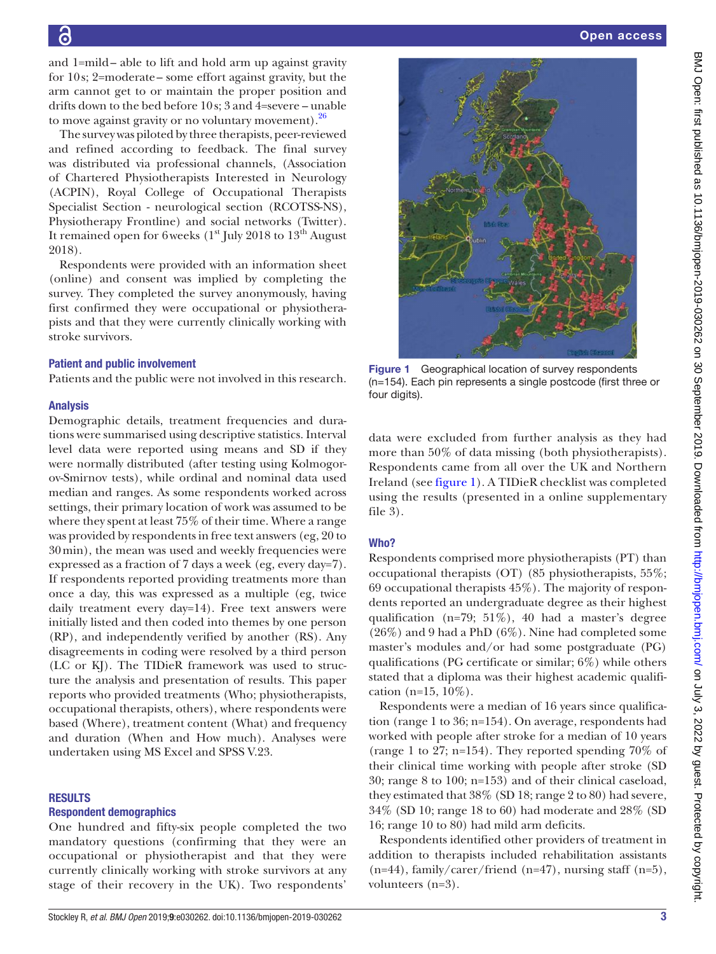and 1=mild– able to lift and hold arm up against gravity for 10s; 2=moderate– some effort against gravity, but the arm cannot get to or maintain the proper position and drifts down to the bed before 10s; 3 and 4=severe – unable to move against gravity or no voluntary movement).<sup>[26](#page-7-4)</sup>

The survey was piloted by three therapists, peer-reviewed and refined according to feedback. The final survey was distributed via professional channels, (Association of Chartered Physiotherapists Interested in Neurology (ACPIN), Royal College of Occupational Therapists Specialist Section - neurological section (RCOTSS-NS), Physiotherapy Frontline) and social networks (Twitter). It remained open for 6 weeks  $(1<sup>st</sup>$  July 2018 to  $13<sup>th</sup>$  August 2018).

Respondents were provided with an information sheet (online) and consent was implied by completing the survey. They completed the survey anonymously, having first confirmed they were occupational or physiotherapists and that they were currently clinically working with stroke survivors.

#### Patient and public involvement

Patients and the public were not involved in this research.

#### Analysis

Demographic details, treatment frequencies and durations were summarised using descriptive statistics. Interval level data were reported using means and SD if they were normally distributed (after testing using Kolmogorov-Smirnov tests), while ordinal and nominal data used median and ranges. As some respondents worked across settings, their primary location of work was assumed to be where they spent at least 75% of their time. Where a range was provided by respondents in free text answers (eg, 20 to 30min), the mean was used and weekly frequencies were expressed as a fraction of 7 days a week (eg, every day=7). If respondents reported providing treatments more than once a day, this was expressed as a multiple (eg, twice daily treatment every day=14). Free text answers were initially listed and then coded into themes by one person (RP), and independently verified by another (RS). Any disagreements in coding were resolved by a third person (LC or KJ). The TIDieR framework was used to structure the analysis and presentation of results. This paper reports who provided treatments (Who; physiotherapists, occupational therapists, others), where respondents were based (Where), treatment content (What) and frequency and duration (When and How much). Analyses were undertaken using MS Excel and SPSS V.23.

#### **RESULTS**

#### Respondent demographics

One hundred and fifty-six people completed the two mandatory questions (confirming that they were an occupational or physiotherapist and that they were currently clinically working with stroke survivors at any stage of their recovery in the UK). Two respondents'



<span id="page-2-0"></span>Figure 1 Geographical location of survey respondents (n=154). Each pin represents a single postcode (first three or four digits).

data were excluded from further analysis as they had more than 50% of data missing (both physiotherapists). Respondents came from all over the UK and Northern Ireland (see [figure](#page-2-0) 1). A TIDieR checklist was completed using the results (presented in a [online supplementary](https://dx.doi.org/10.1136/bmjopen-2019-030262)  [file](https://dx.doi.org/10.1136/bmjopen-2019-030262) 3).

#### Who?

Respondents comprised more physiotherapists (PT) than occupational therapists (OT) (85 physiotherapists, 55%; 69 occupational therapists 45%). The majority of respondents reported an undergraduate degree as their highest qualification (n=79; 51%), 40 had a master's degree (26%) and 9 had a PhD (6%). Nine had completed some master's modules and/or had some postgraduate (PG) qualifications (PG certificate or similar; 6%) while others stated that a diploma was their highest academic qualification (n=15,  $10\%$ ).

Respondents were a median of 16 years since qualification (range 1 to 36; n=154). On average, respondents had worked with people after stroke for a median of 10 years (range 1 to 27; n=154). They reported spending 70% of their clinical time working with people after stroke (SD 30; range 8 to 100; n=153) and of their clinical caseload, they estimated that 38% (SD 18; range 2 to 80) had severe, 34% (SD 10; range 18 to 60) had moderate and 28% (SD 16; range 10 to 80) had mild arm deficits.

Respondents identified other providers of treatment in addition to therapists included rehabilitation assistants  $(n=44)$ , family/carer/friend  $(n=47)$ , nursing staff  $(n=5)$ , volunteers (n=3).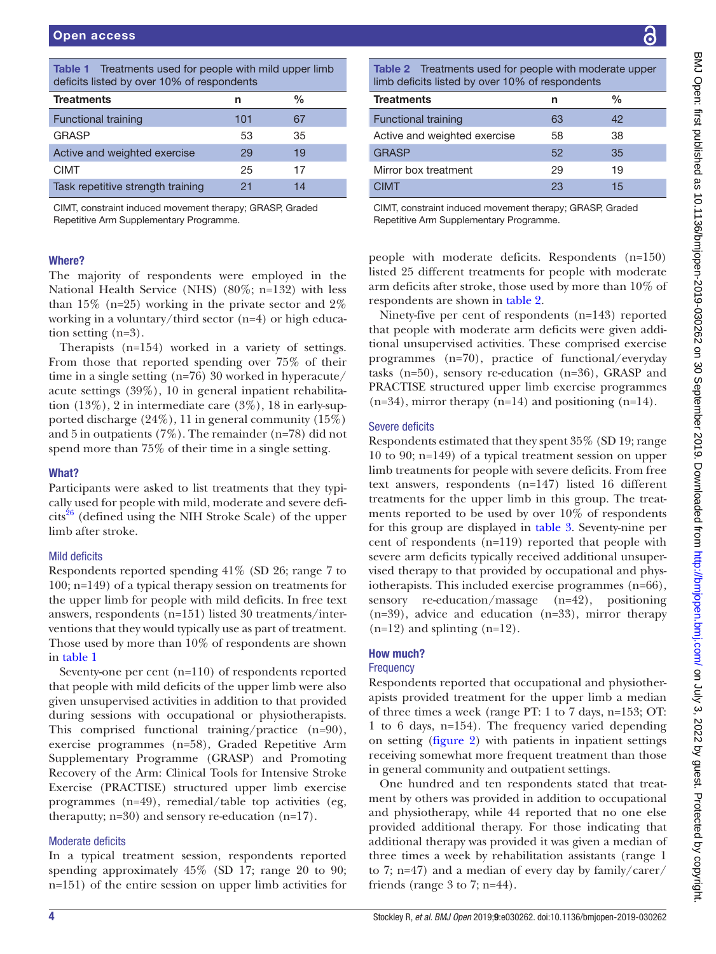<span id="page-3-0"></span>

| <b>Table 1</b> Treatments used for people with mild upper limb<br>deficits listed by over 10% of respondents |     |               |  |  |  |
|--------------------------------------------------------------------------------------------------------------|-----|---------------|--|--|--|
| <b>Treatments</b>                                                                                            | n   | $\frac{0}{0}$ |  |  |  |
| <b>Functional training</b>                                                                                   | 101 | 67            |  |  |  |
| <b>GRASP</b>                                                                                                 | 53  | 35            |  |  |  |
| Active and weighted exercise                                                                                 | 29  | 19            |  |  |  |
| <b>CIMT</b>                                                                                                  | 25  | 17            |  |  |  |
| Task repetitive strength training                                                                            | 21  | 14            |  |  |  |

CIMT, constraint induced movement therapy; GRASP, Graded Repetitive Arm Supplementary Programme.

# Where?

The majority of respondents were employed in the National Health Service (NHS) (80%; n=132) with less than  $15\%$  (n=25) working in the private sector and  $2\%$ working in a voluntary/third sector (n=4) or high education setting (n=3).

Therapists (n=154) worked in a variety of settings. From those that reported spending over 75% of their time in a single setting (n=76) 30 worked in hyperacute/ acute settings (39%), 10 in general inpatient rehabilitation  $(13\%)$ , 2 in intermediate care  $(3\%)$ , 18 in early-supported discharge (24%), 11 in general community (15%) and 5 in outpatients (7%). The remainder (n=78) did not spend more than 75% of their time in a single setting.

# What?

Participants were asked to list treatments that they typically used for people with mild, moderate and severe defi- $\text{cits}^{26}$  (defined using the NIH Stroke Scale) of the upper limb after stroke.

# Mild deficits

Respondents reported spending 41% (SD 26; range 7 to 100; n=149) of a typical therapy session on treatments for the upper limb for people with mild deficits. In free text answers, respondents (n=151) listed 30 treatments/interventions that they would typically use as part of treatment. Those used by more than 10% of respondents are shown in [table](#page-3-0) 1

Seventy-one per cent (n=110) of respondents reported that people with mild deficits of the upper limb were also given unsupervised activities in addition to that provided during sessions with occupational or physiotherapists. This comprised functional training/practice (n=90), exercise programmes (n=58), Graded Repetitive Arm Supplementary Programme (GRASP) and Promoting Recovery of the Arm: Clinical Tools for Intensive Stroke Exercise (PRACTISE) structured upper limb exercise programmes (n=49), remedial/table top activities (eg, theraputty; n=30) and sensory re-education (n=17).

### Moderate deficits

In a typical treatment session, respondents reported spending approximately 45% (SD 17; range 20 to 90; n=151) of the entire session on upper limb activities for

Table 2 Treatments used for people with moderate upper

<span id="page-3-1"></span>

| limb deficits listed by over 10% of respondents |    |               |  |  |  |
|-------------------------------------------------|----|---------------|--|--|--|
| <b>Treatments</b>                               | n  | $\frac{0}{0}$ |  |  |  |
| <b>Functional training</b>                      | 63 | 42            |  |  |  |
| Active and weighted exercise                    | 58 | 38            |  |  |  |
| <b>GRASP</b>                                    | 52 | 35            |  |  |  |
| Mirror box treatment                            | 29 | 19            |  |  |  |
| <b>CIMT</b>                                     | 23 | 15            |  |  |  |

CIMT, constraint induced movement therapy; GRASP, Graded Repetitive Arm Supplementary Programme.

people with moderate deficits. Respondents (n=150) listed 25 different treatments for people with moderate arm deficits after stroke, those used by more than 10% of respondents are shown in [table](#page-3-1) 2.

Ninety-five per cent of respondents (n=143) reported that people with moderate arm deficits were given additional unsupervised activities. These comprised exercise programmes (n=70), practice of functional/everyday tasks (n=50), sensory re-education (n=36), GRASP and PRACTISE structured upper limb exercise programmes  $(n=34)$ , mirror therapy  $(n=14)$  and positioning  $(n=14)$ .

# Severe deficits

Respondents estimated that they spent 35% (SD 19; range 10 to 90; n=149) of a typical treatment session on upper limb treatments for people with severe deficits. From free text answers, respondents (n=147) listed 16 different treatments for the upper limb in this group. The treatments reported to be used by over 10% of respondents for this group are displayed in [table](#page-4-0) 3. Seventy-nine per cent of respondents (n=119) reported that people with severe arm deficits typically received additional unsupervised therapy to that provided by occupational and physiotherapists. This included exercise programmes (n=66), sensory re-education/massage (n=42), positioning (n=39), advice and education (n=33), mirror therapy  $(n=12)$  and splinting  $(n=12)$ .

# How much?

# **Frequency**

Respondents reported that occupational and physiotherapists provided treatment for the upper limb a median of three times a week (range PT: 1 to 7 days, n=153; OT: 1 to 6 days, n=154). The frequency varied depending on setting [\(figure](#page-4-1) 2) with patients in inpatient settings receiving somewhat more frequent treatment than those in general community and outpatient settings.

One hundred and ten respondents stated that treatment by others was provided in addition to occupational and physiotherapy, while 44 reported that no one else provided additional therapy. For those indicating that additional therapy was provided it was given a median of three times a week by rehabilitation assistants (range 1 to 7; n=47) and a median of every day by family/carer/ friends (range 3 to 7; n=44).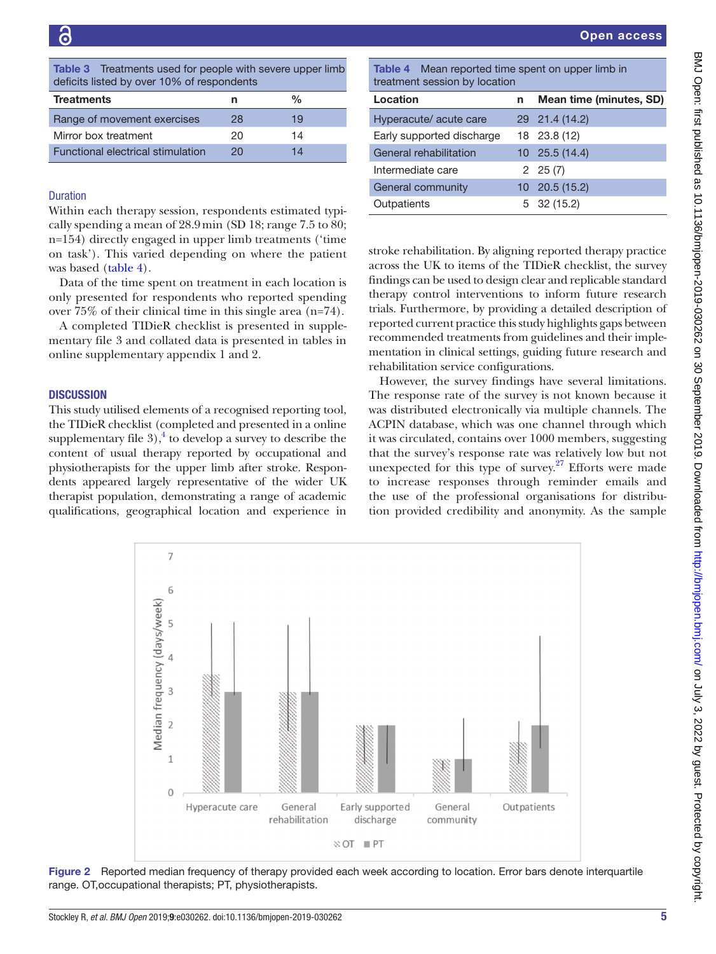<span id="page-4-0"></span>Table 3 Treatments used for people with severe upper limb deficits listed by over 10% of respondents

| <b>Treatments</b>                        | n  | $\frac{0}{0}$ |
|------------------------------------------|----|---------------|
| Range of movement exercises              | 28 | 19            |
| Mirror box treatment                     | 20 | 14            |
| <b>Functional electrical stimulation</b> | 20 | 14            |

cally spending a mean of 28.9min (SD 18; range 7.5 to 80; n=154) directly engaged in upper limb treatments ('time on task'). This varied depending on where the patient was based ([table](#page-4-2) 4).

Data of the time spent on treatment in each location is only presented for respondents who reported spending over 75% of their clinical time in this single area (n=74).

A completed TIDieR checklist is presented in [supple](https://dx.doi.org/10.1136/bmjopen-2019-030262)[mentary file 3](https://dx.doi.org/10.1136/bmjopen-2019-030262) and collated data is presented in tables in [online supplementary appendix 1 and 2.](https://dx.doi.org/10.1136/bmjopen-2019-030262)

### **DISCUSSION**

This study utilised elements of a recognised reporting tool, the TIDieR checklist (completed and presented in a [online](https://dx.doi.org/10.1136/bmjopen-2019-030262) [supplementary file](https://dx.doi.org/10.1136/bmjopen-2019-030262)  $3$ ,<sup>4</sup> to develop a survey to describe the content of usual therapy reported by occupational and physiotherapists for the upper limb after stroke. Respondents appeared largely representative of the wider UK therapist population, demonstrating a range of academic qualifications, geographical location and experience in

Open access

| <b>Treatments</b>                                                           | n  | $\%$              | Location                  | Mean time (minutes, SD) |
|-----------------------------------------------------------------------------|----|-------------------|---------------------------|-------------------------|
| Range of movement exercises                                                 | 28 | 19                | Hyperacute/ acute care    | 29 21.4 (14.2)          |
| Mirror box treatment                                                        | 20 | 14                | Early supported discharge | 18 23.8 (12)            |
| Functional electrical stimulation                                           | 20 | 14                | General rehabilitation    | $10\quad25.5(14.4)$     |
|                                                                             |    |                   | Intermediate care         | $2\quad 25(7)$          |
| <b>Duration</b><br>Within each therapy session, respondents estimated typi- |    | General community | $10\quad20.5(15.2)$       |                         |
|                                                                             |    | Outpatients       | $5\quad 32\ (15.2)$       |                         |
|                                                                             |    |                   |                           |                         |

<span id="page-4-2"></span>stroke rehabilitation. By aligning reported therapy practice across the UK to items of the TIDieR checklist, the survey findings can be used to design clear and replicable standard therapy control interventions to inform future research trials. Furthermore, by providing a detailed description of reported current practice this study highlights gaps between recommended treatments from guidelines and their implementation in clinical settings, guiding future research and rehabilitation service configurations.

However, the survey findings have several limitations. The response rate of the survey is not known because it was distributed electronically via multiple channels. The ACPIN database, which was one channel through which it was circulated, contains over 1000 members, suggesting that the survey's response rate was relatively low but not unexpected for this type of survey. $27$  Efforts were made to increase responses through reminder emails and the use of the professional organisations for distribution provided credibility and anonymity. As the sample



<span id="page-4-1"></span>Figure 2 Reported median frequency of therapy provided each week according to location. Error bars denote interquartile range. OT,occupational therapists; PT, physiotherapists.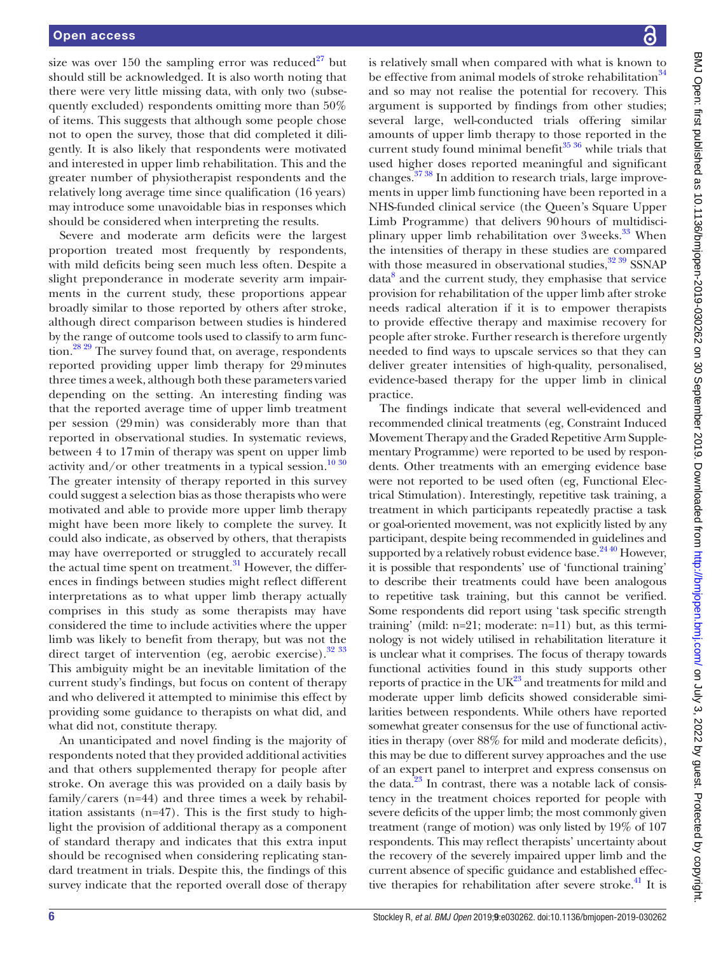size was over 150 the sampling error was reduced<sup>27</sup> but should still be acknowledged. It is also worth noting that there were very little missing data, with only two (subsequently excluded) respondents omitting more than 50% of items. This suggests that although some people chose not to open the survey, those that did completed it diligently. It is also likely that respondents were motivated and interested in upper limb rehabilitation. This and the greater number of physiotherapist respondents and the relatively long average time since qualification (16 years) may introduce some unavoidable bias in responses which should be considered when interpreting the results.

Severe and moderate arm deficits were the largest proportion treated most frequently by respondents, with mild deficits being seen much less often. Despite a slight preponderance in moderate severity arm impairments in the current study, these proportions appear broadly similar to those reported by others after stroke, although direct comparison between studies is hindered by the range of outcome tools used to classify to arm function.[28 29](#page-7-6) The survey found that, on average, respondents reported providing upper limb therapy for 29minutes three times a week, although both these parameters varied depending on the setting. An interesting finding was that the reported average time of upper limb treatment per session (29min) was considerably more than that reported in observational studies. In systematic reviews, between 4 to 17min of therapy was spent on upper limb activity and/or other treatments in a typical session.<sup>[10 30](#page-6-8)</sup> The greater intensity of therapy reported in this survey could suggest a selection bias as those therapists who were motivated and able to provide more upper limb therapy might have been more likely to complete the survey. It could also indicate, as observed by others, that therapists may have overreported or struggled to accurately recall the actual time spent on treatment. $31$  However, the differences in findings between studies might reflect different interpretations as to what upper limb therapy actually comprises in this study as some therapists may have considered the time to include activities where the upper limb was likely to benefit from therapy, but was not the direct target of intervention (eg, aerobic exercise).<sup>32</sup><sup>33</sup> This ambiguity might be an inevitable limitation of the current study's findings, but focus on content of therapy and who delivered it attempted to minimise this effect by providing some guidance to therapists on what did, and what did not, constitute therapy.

An unanticipated and novel finding is the majority of respondents noted that they provided additional activities and that others supplemented therapy for people after stroke. On average this was provided on a daily basis by family/carers (n=44) and three times a week by rehabilitation assistants (n=47). This is the first study to highlight the provision of additional therapy as a component of standard therapy and indicates that this extra input should be recognised when considering replicating standard treatment in trials. Despite this, the findings of this survey indicate that the reported overall dose of therapy is relatively small when compared with what is known to be effective from animal models of stroke rehabilitation<sup>[34](#page-7-9)</sup> and so may not realise the potential for recovery. This argument is supported by findings from other studies; several large, well-conducted trials offering similar amounts of upper limb therapy to those reported in the current study found minimal benefit<sup>35</sup> 36 while trials that used higher doses reported meaningful and significant changes.[37 38](#page-7-11) In addition to research trials, large improvements in upper limb functioning have been reported in a NHS-funded clinical service (the Queen's Square Upper Limb Programme) that delivers 90hours of multidisciplinary upper limb rehabilitation over  $3$  weeks.<sup>[33](#page-7-12)</sup> When the intensities of therapy in these studies are compared with those measured in observational studies,  $32\frac{39}{2}$  SSNAP data<sup>[8](#page-6-5)</sup> and the current study, they emphasise that service provision for rehabilitation of the upper limb after stroke needs radical alteration if it is to empower therapists to provide effective therapy and maximise recovery for people after stroke. Further research is therefore urgently needed to find ways to upscale services so that they can deliver greater intensities of high-quality, personalised, evidence-based therapy for the upper limb in clinical practice.

The findings indicate that several well-evidenced and recommended clinical treatments (eg, Constraint Induced Movement Therapy and the Graded Repetitive Arm Supplementary Programme) were reported to be used by respondents. Other treatments with an emerging evidence base were not reported to be used often (eg, Functional Electrical Stimulation). Interestingly, repetitive task training, a treatment in which participants repeatedly practise a task or goal-oriented movement, was not explicitly listed by any participant, despite being recommended in guidelines and supported by a relatively robust evidence base. $2440$  However, it is possible that respondents' use of 'functional training' to describe their treatments could have been analogous to repetitive task training, but this cannot be verified. Some respondents did report using 'task specific strength training' (mild: n=21; moderate: n=11) but, as this terminology is not widely utilised in rehabilitation literature it is unclear what it comprises. The focus of therapy towards functional activities found in this study supports other reports of practice in the  $UK^{23}$  and treatments for mild and moderate upper limb deficits showed considerable similarities between respondents. While others have reported somewhat greater consensus for the use of functional activities in therapy (over 88% for mild and moderate deficits), this may be due to different survey approaches and the use of an expert panel to interpret and express consensus on the data. $23$  In contrast, there was a notable lack of consistency in the treatment choices reported for people with severe deficits of the upper limb; the most commonly given treatment (range of motion) was only listed by 19% of 107 respondents. This may reflect therapists' uncertainty about the recovery of the severely impaired upper limb and the current absence of specific guidance and established effective therapies for rehabilitation after severe stroke.<sup>41</sup> It is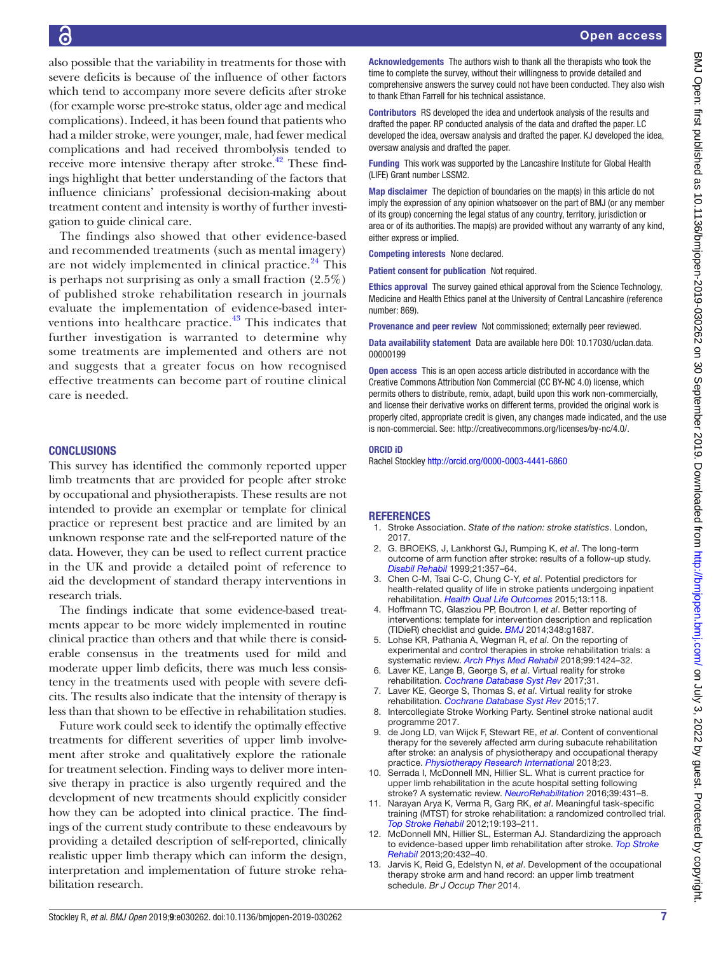also possible that the variability in treatments for those with severe deficits is because of the influence of other factors which tend to accompany more severe deficits after stroke (for example worse pre-stroke status, older age and medical complications). Indeed, it has been found that patients who had a milder stroke, were younger, male, had fewer medical complications and had received thrombolysis tended to receive more intensive therapy after stroke.<sup>42</sup> These findings highlight that better understanding of the factors that influence clinicians' professional decision-making about treatment content and intensity is worthy of further investigation to guide clinical care.

The findings also showed that other evidence-based and recommended treatments (such as mental imagery) are not widely implemented in clinical practice.<sup>[24](#page-7-3)</sup> This is perhaps not surprising as only a small fraction (2.5%) of published stroke rehabilitation research in journals evaluate the implementation of evidence-based interventions into healthcare practice. $43$  This indicates that further investigation is warranted to determine why some treatments are implemented and others are not and suggests that a greater focus on how recognised effective treatments can become part of routine clinical care is needed.

# **CONCLUSIONS**

This survey has identified the commonly reported upper limb treatments that are provided for people after stroke by occupational and physiotherapists. These results are not intended to provide an exemplar or template for clinical practice or represent best practice and are limited by an unknown response rate and the self-reported nature of the data. However, they can be used to reflect current practice in the UK and provide a detailed point of reference to aid the development of standard therapy interventions in research trials.

The findings indicate that some evidence-based treatments appear to be more widely implemented in routine clinical practice than others and that while there is considerable consensus in the treatments used for mild and moderate upper limb deficits, there was much less consistency in the treatments used with people with severe deficits. The results also indicate that the intensity of therapy is less than that shown to be effective in rehabilitation studies.

Future work could seek to identify the optimally effective treatments for different severities of upper limb involvement after stroke and qualitatively explore the rationale for treatment selection. Finding ways to deliver more intensive therapy in practice is also urgently required and the development of new treatments should explicitly consider how they can be adopted into clinical practice. The findings of the current study contribute to these endeavours by providing a detailed description of self-reported, clinically realistic upper limb therapy which can inform the design, interpretation and implementation of future stroke rehabilitation research.

Acknowledgements The authors wish to thank all the therapists who took the time to complete the survey, without their willingness to provide detailed and comprehensive answers the survey could not have been conducted. They also wish to thank Ethan Farrell for his technical assistance.

Contributors RS developed the idea and undertook analysis of the results and drafted the paper. RP conducted analysis of the data and drafted the paper. LC developed the idea, oversaw analysis and drafted the paper. KJ developed the idea, oversaw analysis and drafted the paper.

Funding This work was supported by the Lancashire Institute for Global Health (LIFE) Grant number LSSM2.

Map disclaimer The depiction of boundaries on the map(s) in this article do not imply the expression of any opinion whatsoever on the part of BMJ (or any member of its group) concerning the legal status of any country, territory, jurisdiction or area or of its authorities. The map(s) are provided without any warranty of any kind, either express or implied.

Competing interests None declared.

Patient consent for publication Not required.

Ethics approval The survey gained ethical approval from the Science Technology, Medicine and Health Ethics panel at the University of Central Lancashire (reference number: 869).

Provenance and peer review Not commissioned; externally peer reviewed.

Data availability statement Data are available here DOI: [10.17030/uclan.data.](https://doi.org/10.17030/uclan.data.00000199) [00000199](https://doi.org/10.17030/uclan.data.00000199)

Open access This is an open access article distributed in accordance with the Creative Commons Attribution Non Commercial (CC BY-NC 4.0) license, which permits others to distribute, remix, adapt, build upon this work non-commercially, and license their derivative works on different terms, provided the original work is properly cited, appropriate credit is given, any changes made indicated, and the use is non-commercial. See: [http://creativecommons.org/licenses/by-nc/4.0/.](http://creativecommons.org/licenses/by-nc/4.0/)

#### ORCID iD

Rachel Stockley <http://orcid.org/0000-0003-4441-6860>

#### **REFERENCES**

- <span id="page-6-0"></span>1. Stroke Association. *State of the nation: stroke statistics*. London, 2017.
- <span id="page-6-1"></span>2. G. BROEKS, J, Lankhorst GJ, Rumping K, *et al*. The long-term outcome of arm function after stroke: results of a follow-up study. *[Disabil Rehabil](http://dx.doi.org/10.1080/096382899297459)* 1999;21:357–64.
- 3. Chen C-M, Tsai C-C, Chung C-Y, *et al*. Potential predictors for health-related quality of life in stroke patients undergoing inpatient rehabilitation. *[Health Qual Life Outcomes](http://dx.doi.org/10.1186/s12955-015-0314-5)* 2015;13:118.
- <span id="page-6-2"></span>4. Hoffmann TC, Glasziou PP, Boutron I, *et al*. Better reporting of interventions: template for intervention description and replication (TIDieR) checklist and guide. *[BMJ](http://dx.doi.org/10.1136/bmj.g1687)* 2014;348:g1687.
- <span id="page-6-3"></span>5. Lohse KR, Pathania A, Wegman R, *et al*. On the reporting of experimental and control therapies in stroke rehabilitation trials: a systematic review. *[Arch Phys Med Rehabil](http://dx.doi.org/10.1016/j.apmr.2017.12.024)* 2018;99:1424–32.
- <span id="page-6-4"></span>Laver KE, Lange B, George S, et al. Virtual reality for stroke rehabilitation. *[Cochrane Database Syst Rev](http://dx.doi.org/10.1002/14651858.CD008349.pub4)* 2017;31.
- Laver KE, George S, Thomas S, et al. Virtual reality for stroke rehabilitation. *[Cochrane Database Syst Rev](http://dx.doi.org/10.1002/14651858.CD008349.pub3)* 2015;17.
- <span id="page-6-5"></span>8. Intercollegiate Stroke Working Party. Sentinel stroke national audit programme 2017.
- <span id="page-6-6"></span>9. de Jong LD, van Wijck F, Stewart RE, *et al*. Content of conventional therapy for the severely affected arm during subacute rehabilitation after stroke: an analysis of physiotherapy and occupational therapy practice. *[Physiotherapy Research International](http://dx.doi.org/10.1002/pri.1683)* 2018;23.
- <span id="page-6-8"></span>10. Serrada I, McDonnell MN, Hillier SL. What is current practice for upper limb rehabilitation in the acute hospital setting following stroke? A systematic review. *[NeuroRehabilitation](http://dx.doi.org/10.3233/NRE-161374)* 2016;39:431–8.
- <span id="page-6-7"></span>11. Narayan Arya K, Verma R, Garg RK, *et al*. Meaningful task-specific training (MTST) for stroke rehabilitation: a randomized controlled trial. *[Top Stroke Rehabil](http://dx.doi.org/10.1310/tsr1903-193)* 2012;19:193–211.
- 12. McDonnell MN, Hillier SL, Esterman AJ. Standardizing the approach to evidence-based upper limb rehabilitation after stroke. *[Top Stroke](http://dx.doi.org/10.1310/tsr2005-432)  [Rehabil](http://dx.doi.org/10.1310/tsr2005-432)* 2013;20:432–40.
- 13. Jarvis K, Reid G, Edelstyn N, *et al*. Development of the occupational therapy stroke arm and hand record: an upper limb treatment schedule. *Br J Occup Ther* 2014.